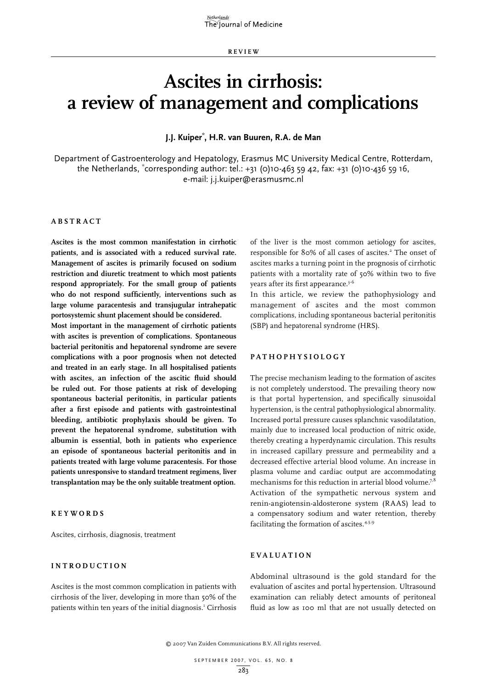**R E VI E W**

# **Ascites in cirrhosis: a review of management and complications**

**J.J. Kuiper\* , H.R. van Buuren, R.A. de Man**

Department of Gastroenterology and Hepatology, Erasmus MC University Medical Centre, Rotterdam, the Netherlands, \* corresponding author: tel.: +31 (0)10-463 59 42, fax: +31 (0)10-436 59 16, e-mail: j.j.kuiper@erasmusmc.nl

# **Abs t r act**

**Ascites is the most common manifestation in cirrhotic patients, and is associated with a reduced survival rate. Management of ascites is primarily focused on sodium restriction and diuretic treatment to which most patients respond appropriately. For the small group of patients who do not respond sufficiently, interventions such as large volume paracentesis and transjugular intrahepatic portosystemic shunt placement should be considered.**

**Most important in the management of cirrhotic patients with ascites is prevention of complications. Spontaneous bacterial peritonitis and hepatorenal syndrome are severe complications with a poor prognosis when not detected and treated in an early stage. In all hospitalised patients with ascites, an infection of the ascitic fluid should be ruled out. For those patients at risk of developing spontaneous bacterial peritonitis, in particular patients after a first episode and patients with gastrointestinal bleeding, antibiotic prophylaxis should be given. To prevent the hepatorenal syndrome, substitution with albumin is essential, both in patients who experience an episode of spontaneous bacterial peritonitis and in patients treated with large volume paracentesis. For those patients unresponsive to standard treatment regimens, liver transplantation may be the only suitable treatment option.** 

**K e ywords**

Ascites, cirrhosis, diagnosis, treatment

# **Int rodu ct i o n**

Ascites is the most common complication in patients with cirrhosis of the liver, developing in more than 50% of the patients within ten years of the initial diagnosis.<sup>1</sup> Cirrhosis of the liver is the most common aetiology for ascites, responsible for 80% of all cases of ascites.<sup>2</sup> The onset of ascites marks a turning point in the prognosis of cirrhotic patients with a mortality rate of 50% within two to five years after its first appearance.<sup>3-6</sup>

In this article, we review the pathophysiology and management of ascites and the most common complications, including spontaneous bacterial peritonitis (SBP) and hepatorenal syndrome (HRS).

#### **Pat hophysiology**

The precise mechanism leading to the formation of ascites is not completely understood. The prevailing theory now is that portal hypertension, and specifically sinusoidal hypertension, is the central pathophysiological abnormality. Increased portal pressure causes splanchnic vasodilatation, mainly due to increased local production of nitric oxide, thereby creating a hyperdynamic circulation. This results in increased capillary pressure and permeability and a decreased effective arterial blood volume. An increase in plasma volume and cardiac output are accommodating mechanisms for this reduction in arterial blood volume.<sup>7,8</sup> Activation of the sympathetic nervous system and renin-angiotensin-aldosterone system (RAAS) lead to a compensatory sodium and water retention, thereby facilitating the formation of ascites.<sup>4,5,9</sup>

# **EVALUATION**

Abdominal ultrasound is the gold standard for the evaluation of ascites and portal hypertension. Ultrasound examination can reliably detect amounts of peritoneal fluid as low as 100 ml that are not usually detected on

<sup>© 2007</sup> Van Zuiden Communications B.V. All rights reserved.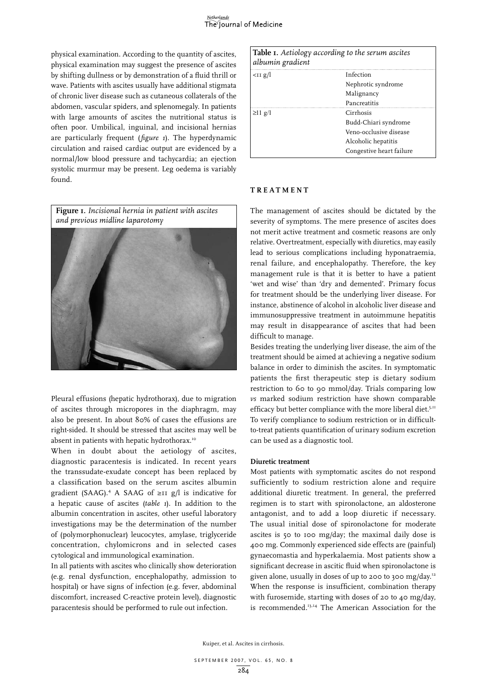physical examination. According to the quantity of ascites, physical examination may suggest the presence of ascites by shifting dullness or by demonstration of a fluid thrill or wave. Patients with ascites usually have additional stigmata of chronic liver disease such as cutaneous collaterals of the abdomen, vascular spiders, and splenomegaly. In patients with large amounts of ascites the nutritional status is often poor. Umbilical, inguinal, and incisional hernias are particularly frequent (*figure 1*). The hyperdynamic circulation and raised cardiac output are evidenced by a normal/low blood pressure and tachycardia; an ejection systolic murmur may be present. Leg oedema is variably found.

**Figure 1.** *Incisional hernia in patient with ascites and previous midline laparotomy*



Pleural effusions (hepatic hydrothorax), due to migration of ascites through micropores in the diaphragm, may also be present. In about 80% of cases the effusions are right-sided. It should be stressed that ascites may well be absent in patients with hepatic hydrothorax.<sup>10</sup>

When in doubt about the aetiology of ascites, diagnostic paracentesis is indicated. In recent years the transsudate-exudate concept has been replaced by a classification based on the serum ascites albumin gradient (SAAG).<sup>4</sup> A SAAG of ≥II g/l is indicative for a hepatic cause of ascites (*table 1*). In addition to the albumin concentration in ascites, other useful laboratory investigations may be the determination of the number of (polymorphonuclear) leucocytes, amylase, triglyceride concentration, chylomicrons and in selected cases cytological and immunological examination.

In all patients with ascites who clinically show deterioration (e.g. renal dysfunction, encephalopathy, admission to hospital) or have signs of infection (e.g. fever, abdominal discomfort, increased C-reactive protein level), diagnostic paracentesis should be performed to rule out infection.

| albumin gradient | Table <i>I</i> . Aetiology according to the serum ascites |
|------------------|-----------------------------------------------------------|
| $I$ g/l          | Infection                                                 |
|                  | Nephrotic syndrome                                        |
|                  | Malignancy                                                |
|                  | Pancreatitis                                              |
| $\geq$ 11 g/l    | Cirrhosis                                                 |
|                  | Budd-Chiari syndrome                                      |
|                  | Veno-occlusive disease                                    |
|                  | Alcoholic hepatitis                                       |
|                  | Congestive heart failure                                  |

#### **TREATMENT**

The management of ascites should be dictated by the severity of symptoms. The mere presence of ascites does not merit active treatment and cosmetic reasons are only relative. Overtreatment, especially with diuretics, may easily lead to serious complications including hyponatraemia, renal failure, and encephalopathy. Therefore, the key management rule is that it is better to have a patient 'wet and wise' than 'dry and demented'. Primary focus for treatment should be the underlying liver disease. For instance, abstinence of alcohol in alcoholic liver disease and immunosuppressive treatment in autoimmune hepatitis may result in disappearance of ascites that had been difficult to manage.

Besides treating the underlying liver disease, the aim of the treatment should be aimed at achieving a negative sodium balance in order to diminish the ascites. In symptomatic patients the first therapeutic step is dietary sodium restriction to 60 to 90 mmol/day. Trials comparing low *vs* marked sodium restriction have shown comparable efficacy but better compliance with the more liberal diet.<sup>5,11</sup> To verify compliance to sodium restriction or in difficultto-treat patients quantification of urinary sodium excretion can be used as a diagnostic tool.

#### **Diuretic treatment**

Most patients with symptomatic ascites do not respond sufficiently to sodium restriction alone and require additional diuretic treatment. In general, the preferred regimen is to start with spironolactone, an aldosterone antagonist, and to add a loop diuretic if necessary. The usual initial dose of spironolactone for moderate ascites is 50 to 100 mg/day; the maximal daily dose is 400 mg. Commonly experienced side effects are (painful) gynaecomastia and hyperkalaemia. Most patients show a significant decrease in ascitic fluid when spironolactone is given alone, usually in doses of up to 200 to 300 mg/day.12 When the response is insufficient, combination therapy with furosemide, starting with doses of 20 to 40 mg/day, is recommended.<sup>13,14</sup> The American Association for the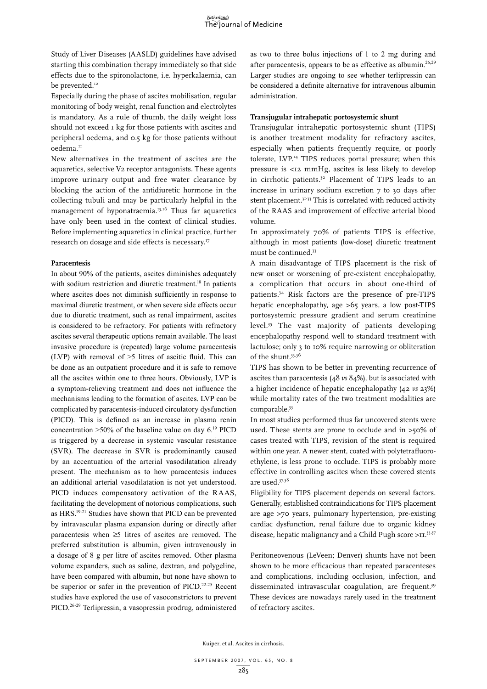Study of Liver Diseases (AASLD) guidelines have advised starting this combination therapy immediately so that side effects due to the spironolactone, i.e. hyperkalaemia, can be prevented.<sup>12</sup>

Especially during the phase of ascites mobilisation, regular monitoring of body weight, renal function and electrolytes is mandatory. As a rule of thumb, the daily weight loss should not exceed 1 kg for those patients with ascites and peripheral oedema, and 0.5 kg for those patients without oedema.<sup>11</sup>

New alternatives in the treatment of ascites are the aquaretics, selective V2 receptor antagonists. These agents improve urinary output and free water clearance by blocking the action of the antidiuretic hormone in the collecting tubuli and may be particularly helpful in the management of hyponatraemia.<sup>15,16</sup> Thus far aquaretics have only been used in the context of clinical studies. Before implementing aquaretics in clinical practice, further research on dosage and side effects is necessary.<sup>17</sup>

#### **Paracentesis**

In about 90% of the patients, ascites diminishes adequately with sodium restriction and diuretic treatment.<sup>18</sup> In patients where ascites does not diminish sufficiently in response to maximal diuretic treatment, or when severe side effects occur due to diuretic treatment, such as renal impairment, ascites is considered to be refractory. For patients with refractory ascites several therapeutic options remain available. The least invasive procedure is (repeated) large volume paracentesis (LVP) with removal of >5 litres of ascitic fluid. This can be done as an outpatient procedure and it is safe to remove all the ascites within one to three hours. Obviously, LVP is a symptom-relieving treatment and does not influence the mechanisms leading to the formation of ascites. LVP can be complicated by paracentesis-induced circulatory dysfunction (PICD). This is defined as an increase in plasma renin concentration  $>50\%$  of the baseline value on day 6.<sup>19</sup> PICD is triggered by a decrease in systemic vascular resistance (SVR). The decrease in SVR is predominantly caused by an accentuation of the arterial vasodilatation already present. The mechanism as to how paracentesis induces an additional arterial vasodilatation is not yet understood. PICD induces compensatory activation of the RAAS, facilitating the development of notorious complications, such as HRS.19-21 Studies have shown that PICD can be prevented by intravascular plasma expansion during or directly after paracentesis when ≥5 litres of ascites are removed. The preferred substitution is albumin, given intravenously in a dosage of 8 g per litre of ascites removed. Other plasma volume expanders, such as saline, dextran, and polygeline, have been compared with albumin, but none have shown to be superior or safer in the prevention of PICD.<sup>22-25</sup> Recent studies have explored the use of vasoconstrictors to prevent PICD.26-29 Terlipressin, a vasopressin prodrug, administered

as two to three bolus injections of 1 to 2 mg during and after paracentesis, appears to be as effective as albumin.<sup>26,29</sup> Larger studies are ongoing to see whether terlipressin can be considered a definite alternative for intravenous albumin administration.

## **Transjugular intrahepatic portosystemic shunt**

Transjugular intrahepatic portosystemic shunt (TIPS) is another treatment modality for refractory ascites, especially when patients frequently require, or poorly tolerate, LVP.<sup>14</sup> TIPS reduces portal pressure; when this pressure is <12 mmHg, ascites is less likely to develop in cirrhotic patients.<sup>30</sup> Placement of TIPS leads to an increase in urinary sodium excretion 7 to 30 days after stent placement.<sup>31-33</sup> This is correlated with reduced activity of the RAAS and improvement of effective arterial blood volume.

In approximately 70% of patients TIPS is effective, although in most patients (low-dose) diuretic treatment must be continued.33

A main disadvantage of TIPS placement is the risk of new onset or worsening of pre-existent encephalopathy, a complication that occurs in about one-third of patients.34 Risk factors are the presence of pre-TIPS hepatic encephalopathy, age >65 years, a low post-TIPS portosystemic pressure gradient and serum creatinine level.35 The vast majority of patients developing encephalopathy respond well to standard treatment with lactulose; only 3 to 10% require narrowing or obliteration of the shunt.<sup>33,36</sup>

TIPS has shown to be better in preventing recurrence of ascites than paracentesis (48 *vs* 84%), but is associated with a higher incidence of hepatic encephalopathy (42 *vs* 23%) while mortality rates of the two treatment modalities are comparable.<sup>33</sup>

In most studies performed thus far uncovered stents were used. These stents are prone to occlude and in >50% of cases treated with TIPS, revision of the stent is required within one year. A newer stent, coated with polytetrafluoroethylene, is less prone to occlude. TIPS is probably more effective in controlling ascites when these covered stents are used.37,38

Eligibility for TIPS placement depends on several factors. Generally, established contraindications for TIPS placement are age >70 years, pulmonary hypertension, pre-existing cardiac dysfunction, renal failure due to organic kidney disease, hepatic malignancy and a Child Pugh score >11.<sup>33,37</sup>

Peritoneovenous (LeVeen; Denver) shunts have not been shown to be more efficacious than repeated paracenteses and complications, including occlusion, infection, and disseminated intravascular coagulation, are frequent.<sup>39</sup> These devices are nowadays rarely used in the treatment of refractory ascites.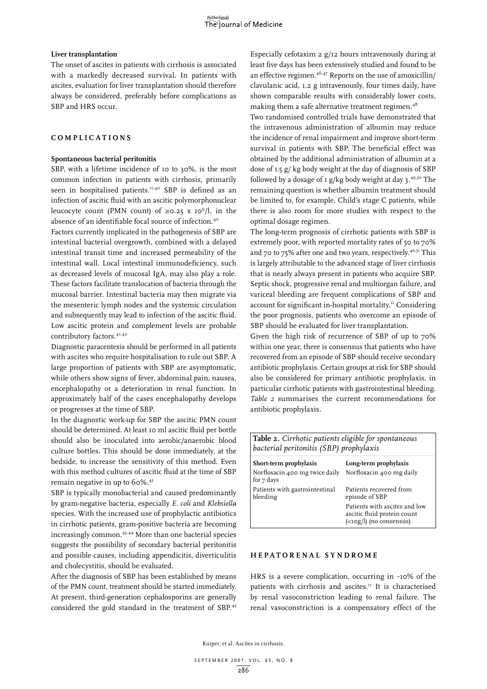#### **Liver transplantation**

The onset of ascites in patients with cirrhosis is associated with a markedly decreased survival. In patients with ascites, evaluation for liver transplantation should therefore always be considered, preferably before complications as SBP and HRS occur.

# **C o m pli cat i o n s**

## **Spontaneous bacterial peritonitis**

SBP, with a lifetime incidence of 10 to 30%, is the most common infection in patients with cirrhosis, primarily seen in hospitalised patients.<sup>11,40</sup> SBP is defined as an infection of ascitic fluid with an ascitic polymorphonuclear leucocyte count (PMN count) of  $\geq 0.25$  x 10<sup>9</sup>/l, in the absence of an identifiable focal source of infection.<sup>40</sup>

Factors currently implicated in the pathogenesis of SBP are intestinal bacterial overgrowth, combined with a delayed intestinal transit time and increased permeability of the intestinal wall. Local intestinal immunodeficiency, such as decreased levels of mucosal IgA, may also play a role. These factors facilitate translocation of bacteria through the mucosal barrier. Intestinal bacteria may then migrate via the mesenteric lymph nodes and the systemic circulation and subsequently may lead to infection of the ascitic fluid. Low ascitic protein and complement levels are probable contributory factors.<sup>41,42</sup>

Diagnostic paracentesis should be performed in all patients with ascites who require hospitalisation to rule out SBP. A large proportion of patients with SBP are asymptomatic, while others show signs of fever, abdominal pain, nausea, encephalopathy or a deterioration in renal function. In approximately half of the cases encephalopathy develops or progresses at the time of SBP.

In the diagnostic work-up for SBP the ascitic PMN count should be determined. At least 10 ml ascitic fluid per bottle should also be inoculated into aerobic/anaerobic blood culture bottles. This should be done immediately, at the bedside, to increase the sensitivity of this method. Even with this method cultures of ascitic fluid at the time of SBP remain negative in up to 60%.43

SBP is typically monobacterial and caused predominantly by gram-negative bacteria, especially *E. coli* and *Klebsiella* species. With the increased use of prophylactic antibiotics in cirrhotic patients, gram-positive bacteria are becoming increasingly common.<sup>43,44</sup> More than one bacterial species suggests the possibility of secondary bacterial peritonitis and possible causes, including appendicitis, diverticulitis and cholecystitis, should be evaluated.

After the diagnosis of SBP has been established by means of the PMN count, treatment should be started immediately. At present, third-generation cephalosporins are generally considered the gold standard in the treatment of SBP.45

Especially cefotaxim 2 g/12 hours intravenously during at least five days has been extensively studied and found to be an effective regimen.46,47 Reports on the use of amoxicillin/ clavulanic acid, 1.2 g intravenously, four times daily, have shown comparable results with considerably lower costs, making them a safe alternative treatment regimen.<sup>48</sup>

Two randomised controlled trials have demonstrated that the intravenous administration of albumin may reduce the incidence of renal impairment and improve short-term survival in patients with SBP. The beneficial effect was obtained by the additional administration of albumin at a dose of 1.5 g/ kg body weight at the day of diagnosis of SBP followed by a dosage of  $1$  g/kg body weight at day 3.<sup>49,50</sup> The remaining question is whether albumin treatment should be limited to, for example, Child's stage C patients, while there is also room for more studies with respect to the optimal dosage regimen.

The long-term prognosis of cirrhotic patients with SBP is extremely poor, with reported mortality rates of 50 to 70% and 70 to 75% after one and two years, respectively.<sup>40,51</sup> This is largely attributable to the advanced stage of liver cirrhosis that is nearly always present in patients who acquire SBP. Septic shock, progressive renal and multiorgan failure, and variceal bleeding are frequent complications of SBP and account for significant in-hospital mortality.<sup>11</sup> Considering the poor prognosis, patients who overcome an episode of SBP should be evaluated for liver transplantation.

Given the high risk of recurrence of SBP of up to 70% within one year, there is consensus that patients who have recovered from an episode of SBP should receive secondary antibiotic prophylaxis. Certain groups at risk for SBP should also be considered for primary antibiotic prophylaxis, in particular cirrhotic patients with gastrointestinal bleeding. *Table 2* summarises the current recommendations for antibiotic prophylaxis.

| bacterial peritonitis (SBP) prophylaxis      |                                                                                         |
|----------------------------------------------|-----------------------------------------------------------------------------------------|
| Short-term prophylaxis                       | Long-term prophylaxis                                                                   |
| Norfloxacin 400 mg twice daily<br>for 7 days | Norfloxacin 400 mg daily                                                                |
| Patients with gastrointestinal<br>bleeding   | Patients recovered from<br>episode of SBP                                               |
|                                              | Patients with ascites and low<br>ascitic fluid protein count<br>(<10g/l) (no consensus) |

**Table 2.** *Cirrhotic patients eligible for spontaneous* 

#### **He pat o r ena l sy n dro me**

HRS is a severe complication, occurring in ~10% of the patients with cirrhosis and ascites.<sup>11</sup> It is characterised by renal vasoconstriction leading to renal failure. The renal vasoconstriction is a compensatory effect of the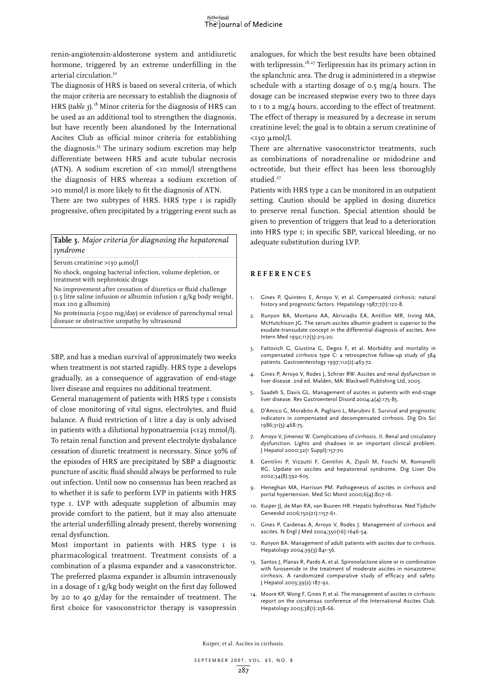renin-angiotensin-aldosterone system and antidiuretic hormone, triggered by an extreme underfilling in the arterial circulation.<sup>52</sup>

The diagnosis of HRS is based on several criteria, of which the major criteria are necessary to establish the diagnosis of HRS (*table 3*).18 Minor criteria for the diagnosis of HRS can be used as an additional tool to strengthen the diagnosis, but have recently been abandoned by the International Ascites Club as official minor criteria for establishing the diagnosis.<sup>53</sup> The urinary sodium excretion may help differentiate between HRS and acute tubular necrosis (ATN). A sodium excretion of  $\leq$  mmol/l strengthens the diagnosis of HRS whereas a sodium excretion of >10 mmol/l is more likely to fit the diagnosis of ATN.

There are two subtypes of HRS. HRS type I is rapidly progressive, often precipitated by a triggering event such as

**Table 3.** *Major criteria for diagnosing the hepatorenal syndrome* 

Serum creatinine >130 µmol/l

No shock, ongoing bacterial infection, volume depletion, or treatment with nephrotoxic drugs

No improvement after cessation of diuretics or fluid challenge (1.5 litre saline infusion or albumin infusion 1 g/kg body weight, max 100 g albumin)

No proteinuria (<500 mg/day) or evidence of parenchymal renal disease or obstructive uropathy by ultrasound

SBP, and has a median survival of approximately two weeks when treatment is not started rapidly. HRS type 2 develops gradually, as a consequence of aggravation of end-stage liver disease and requires no additional treatment.

General management of patients with HRS type I consists of close monitoring of vital signs, electrolytes, and fluid balance. A fluid restriction of I litre a day is only advised in patients with a dilutional hyponatraemia  $\langle$ <125 mmol/l). To retain renal function and prevent electrolyte dysbalance cessation of diuretic treatment is necessary. Since 30% of the episodes of HRS are precipitated by SBP a diagnostic puncture of ascitic fluid should always be performed to rule out infection. Until now no consensus has been reached as to whether it is safe to perform LVP in patients with HRS type 1. LVP with adequate suppletion of albumin may provide comfort to the patient, but it may also attenuate the arterial underfilling already present, thereby worsening renal dysfunction.

Most important in patients with HRS type I is pharmacological treatment. Treatment consists of a combination of a plasma expander and a vasoconstrictor. The preferred plasma expander is albumin intravenously in a dosage of 1 g/kg body weight on the first day followed by 20 to 40 g/day for the remainder of treatment. The first choice for vasoconstrictor therapy is vasopressin

analogues, for which the best results have been obtained with terlipressin.<sup>18,27</sup> Terlipressin has its primary action in the splanchnic area. The drug is administered in a stepwise schedule with a starting dosage of 0.5 mg/4 hours. The dosage can be increased stepwise every two to three days to 1 to 2 mg/4 hours, according to the effect of treatment. The effect of therapy is measured by a decrease in serum creatinine level; the goal is to obtain a serum creatinine of  $<$ 130  $\mu$ mol/l.

There are alternative vasoconstrictor treatments, such as combinations of noradrenaline or midodrine and octreotide, but their effect has been less thoroughly studied.<sup>27</sup>

Patients with HRS type 2 can be monitored in an outpatient setting. Caution should be applied in dosing diuretics to preserve renal function. Special attention should be given to prevention of triggers that lead to a deterioration into HRS type 1; in specific SBP, variceal bleeding, or no adequate substitution during LVP.

# **Re f e r ence s**

- 1. Gines P, Quintero E, Arroyo V, et al. Compensated cirrhosis: natural history and prognostic factors. Hepatology 1987;7(1):122-8.
- 2. Runyon BA, Montano AA, Akriviadis EA, Antillon MR, Irving MA, McHutchison JG. The serum-ascites albumin gradient is superior to the exudate-transudate concept in the differential diagnosis of ascites. Ann Intern Med 1992;117(3):215-20.
- 3. Fattovich G, Giustina G, Degos F, et al. Morbidity and mortality in compensated cirrhosis type C: a retrospective follow-up study of 384 patients. Gastroenterology 1997;112(2):463-72.
- 4. Gines P, Arroyo V, Rodes J, Schrier RW. Ascites and renal dysfunction in liver disease. 2nd ed. Malden, MA: Blackwell Publishing Ltd, 2005.
- 5. Saadeh S, Davis GL. Management of ascites in patients with end-stage liver disease. Rev Gastroenterol Disord 2004;4(4):175-85.
- 6. D'Amico G, Morabito A, Pagliaro L, Marubini E. Survival and prognostic indicators in compensated and decompensated cirrhosis. Dig Dis Sci 1986;31(5):468-75.
- 7. Arroyo V, Jimenez W. Complications of cirrhosis. II. Renal and circulatory dysfunction. Lights and shadows in an important clinical problem. J Hepatol 2000;32(1 Suppl):157-70.
- 8. Gentilini P, Vizzutti F, Gentilini A, Zipoli M, Foschi M, Romanelli RG. Update on ascites and hepatorenal syndrome. Dig Liver Dis 2002;34(8):592-605.
- 9. Heneghan MA, Harrison PM. Pathogenesis of ascites in cirrhosis and portal hypertension. Med Sci Monit 2000;6(4):807-16.
- 10. Kuiper JJ, de Man RA, van Buuren HR. Hepatic hydrothorax. Ned Tijdschr Geneeskd 2006;150(21):1157-61.
- 11. Gines P, Cardenas A, Arroyo V, Rodes J. Management of cirrhosis and ascites. N Engl J Med 2004;350(16):1646-54.
- 12. Runyon BA. Management of adult patients with ascites due to cirrhosis. Hepatology 2004;39(3):841-56.
- 13. Santos J, Planas R, Pardo A, et al. Spironolactone alone or in combination with furosemide in the treatment of moderate ascites in nonazotemic cirrhosis. A randomized comparative study of efficacy and safety. J Hepatol 2003;39(2):187-92.
- 14. Moore KP, Wong F, Gines P, et al. The management of ascites in cirrhosis: report on the consensus conference of the International Ascites Club. Hepatology 2003;38(1):258-66.